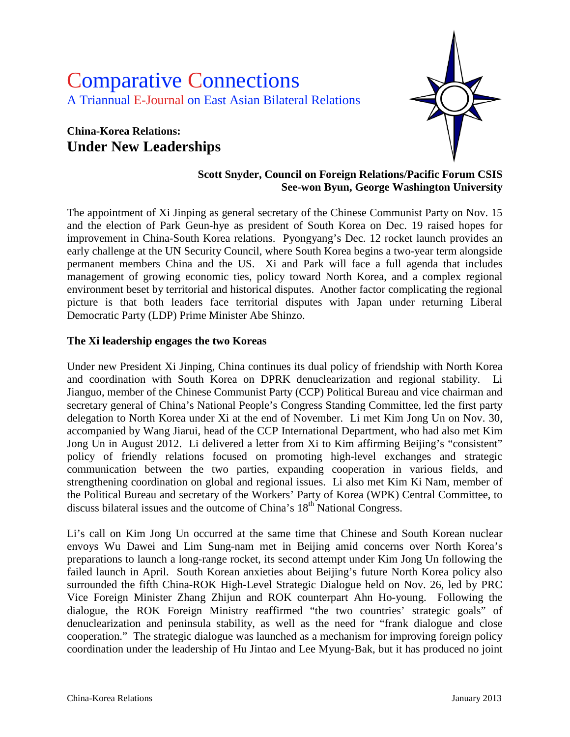# Comparative Connections A Triannual E-Journal on East Asian Bilateral Relations

## **China-Korea Relations: Under New Leaderships**



#### **Scott Snyder, Council on Foreign Relations/Pacific Forum CSIS See-won Byun, George Washington University**

The appointment of Xi Jinping as general secretary of the Chinese Communist Party on Nov. 15 and the election of Park Geun-hye as president of South Korea on Dec. 19 raised hopes for improvement in China-South Korea relations. Pyongyang's Dec. 12 rocket launch provides an early challenge at the UN Security Council, where South Korea begins a two-year term alongside permanent members China and the US. Xi and Park will face a full agenda that includes management of growing economic ties, policy toward North Korea, and a complex regional environment beset by territorial and historical disputes. Another factor complicating the regional picture is that both leaders face territorial disputes with Japan under returning Liberal Democratic Party (LDP) Prime Minister Abe Shinzo.

#### **The Xi leadership engages the two Koreas**

Under new President Xi Jinping, China continues its dual policy of friendship with North Korea and coordination with South Korea on DPRK denuclearization and regional stability. Li Jianguo, member of the Chinese Communist Party (CCP) Political Bureau and vice chairman and secretary general of China's National People's Congress Standing Committee, led the first party delegation to North Korea under Xi at the end of November. Li met Kim Jong Un on Nov. 30, accompanied by Wang Jiarui, head of the CCP International Department, who had also met Kim Jong Un in August 2012. Li delivered a letter from Xi to Kim affirming Beijing's "consistent" policy of friendly relations focused on promoting high-level exchanges and strategic communication between the two parties, expanding cooperation in various fields, and strengthening coordination on global and regional issues. Li also met Kim Ki Nam, member of the Political Bureau and secretary of the Workers' Party of Korea (WPK) Central Committee, to discuss bilateral issues and the outcome of China's 18<sup>th</sup> National Congress.

Li's call on Kim Jong Un occurred at the same time that Chinese and South Korean nuclear envoys Wu Dawei and Lim Sung-nam met in Beijing amid concerns over North Korea's preparations to launch a long-range rocket, its second attempt under Kim Jong Un following the failed launch in April. South Korean anxieties about Beijing's future North Korea policy also surrounded the fifth China-ROK High-Level Strategic Dialogue held on Nov. 26, led by PRC Vice Foreign Minister Zhang Zhijun and ROK counterpart Ahn Ho-young. Following the dialogue, the ROK Foreign Ministry reaffirmed "the two countries' strategic goals" of denuclearization and peninsula stability, as well as the need for "frank dialogue and close cooperation." The strategic dialogue was launched as a mechanism for improving foreign policy coordination under the leadership of Hu Jintao and Lee Myung-Bak, but it has produced no joint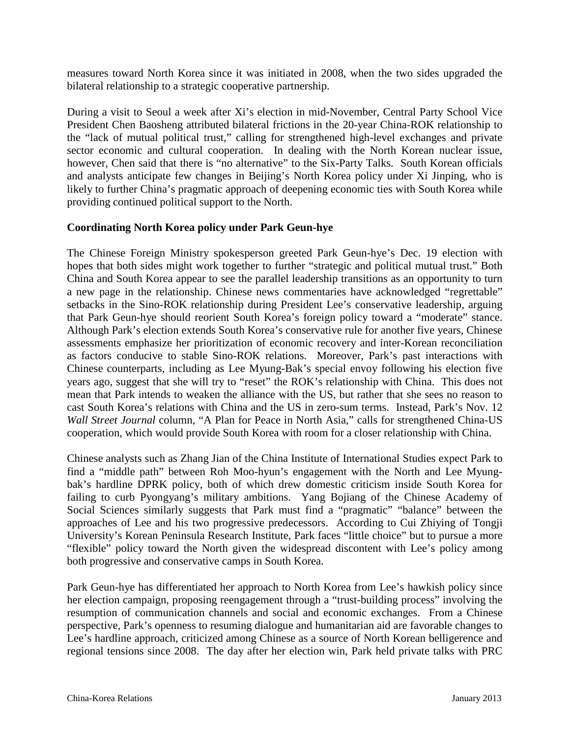measures toward North Korea since it was initiated in 2008, when the two sides upgraded the bilateral relationship to a strategic cooperative partnership.

During a visit to Seoul a week after Xi's election in mid-November, Central Party School Vice President Chen Baosheng attributed bilateral frictions in the 20-year China-ROK relationship to the "lack of mutual political trust," calling for strengthened high-level exchanges and private sector economic and cultural cooperation. In dealing with the North Korean nuclear issue, however, Chen said that there is "no alternative" to the Six-Party Talks. South Korean officials and analysts anticipate few changes in Beijing's North Korea policy under Xi Jinping, who is likely to further China's pragmatic approach of deepening economic ties with South Korea while providing continued political support to the North.

#### **Coordinating North Korea policy under Park Geun-hye**

The Chinese Foreign Ministry spokesperson greeted Park Geun-hye's Dec. 19 election with hopes that both sides might work together to further "strategic and political mutual trust." Both China and South Korea appear to see the parallel leadership transitions as an opportunity to turn a new page in the relationship. Chinese news commentaries have acknowledged "regrettable" setbacks in the Sino-ROK relationship during President Lee's conservative leadership, arguing that Park Geun-hye should reorient South Korea's foreign policy toward a "moderate" stance. Although Park's election extends South Korea's conservative rule for another five years, Chinese assessments emphasize her prioritization of economic recovery and inter-Korean reconciliation as factors conducive to stable Sino-ROK relations. Moreover, Park's past interactions with Chinese counterparts, including as Lee Myung-Bak's special envoy following his election five years ago, suggest that she will try to "reset" the ROK's relationship with China. This does not mean that Park intends to weaken the alliance with the US, but rather that she sees no reason to cast South Korea's relations with China and the US in zero-sum terms. Instead, Park's Nov. 12 *Wall Street Journal* column, "A Plan for Peace in North Asia," calls for strengthened China-US cooperation, which would provide South Korea with room for a closer relationship with China.

Chinese analysts such as Zhang Jian of the China Institute of International Studies expect Park to find a "middle path" between Roh Moo-hyun's engagement with the North and Lee Myungbak's hardline DPRK policy, both of which drew domestic criticism inside South Korea for failing to curb Pyongyang's military ambitions. Yang Bojiang of the Chinese Academy of Social Sciences similarly suggests that Park must find a "pragmatic" "balance" between the approaches of Lee and his two progressive predecessors. According to Cui Zhiying of Tongji University's Korean Peninsula Research Institute, Park faces "little choice" but to pursue a more "flexible" policy toward the North given the widespread discontent with Lee's policy among both progressive and conservative camps in South Korea.

Park Geun-hye has differentiated her approach to North Korea from Lee's hawkish policy since her election campaign, proposing reengagement through a "trust-building process" involving the resumption of communication channels and social and economic exchanges. From a Chinese perspective, Park's openness to resuming dialogue and humanitarian aid are favorable changes to Lee's hardline approach, criticized among Chinese as a source of North Korean belligerence and regional tensions since 2008. The day after her election win, Park held private talks with PRC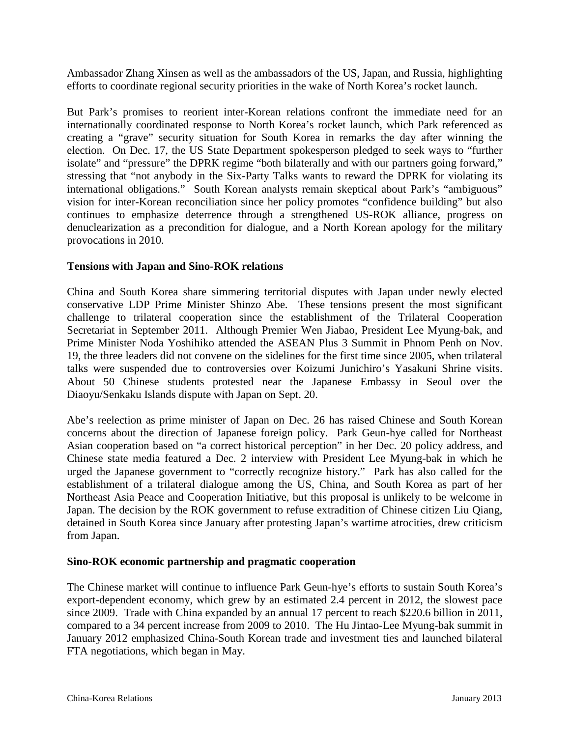Ambassador Zhang Xinsen as well as the ambassadors of the US, Japan, and Russia, highlighting efforts to coordinate regional security priorities in the wake of North Korea's rocket launch.

But Park's promises to reorient inter-Korean relations confront the immediate need for an internationally coordinated response to North Korea's rocket launch, which Park referenced as creating a "grave" security situation for South Korea in remarks the day after winning the election. On Dec. 17, the US State Department spokesperson pledged to seek ways to "further isolate" and "pressure" the DPRK regime "both bilaterally and with our partners going forward," stressing that "not anybody in the Six-Party Talks wants to reward the DPRK for violating its international obligations." South Korean analysts remain skeptical about Park's "ambiguous" vision for inter-Korean reconciliation since her policy promotes "confidence building" but also continues to emphasize deterrence through a strengthened US-ROK alliance, progress on denuclearization as a precondition for dialogue, and a North Korean apology for the military provocations in 2010.

#### **Tensions with Japan and Sino-ROK relations**

China and South Korea share simmering territorial disputes with Japan under newly elected conservative LDP Prime Minister Shinzo Abe. These tensions present the most significant challenge to trilateral cooperation since the establishment of the Trilateral Cooperation Secretariat in September 2011. Although Premier Wen Jiabao, President Lee Myung-bak, and Prime Minister Noda Yoshihiko attended the ASEAN Plus 3 Summit in Phnom Penh on Nov. 19, the three leaders did not convene on the sidelines for the first time since 2005, when trilateral talks were suspended due to controversies over Koizumi Junichiro's Yasakuni Shrine visits. About 50 Chinese students protested near the Japanese Embassy in Seoul over the Diaoyu/Senkaku Islands dispute with Japan on Sept. 20.

Abe's reelection as prime minister of Japan on Dec. 26 has raised Chinese and South Korean concerns about the direction of Japanese foreign policy. Park Geun-hye called for Northeast Asian cooperation based on "a correct historical perception" in her Dec. 20 policy address, and Chinese state media featured a Dec. 2 interview with President Lee Myung-bak in which he urged the Japanese government to "correctly recognize history." Park has also called for the establishment of a trilateral dialogue among the US, China, and South Korea as part of her Northeast Asia Peace and Cooperation Initiative, but this proposal is unlikely to be welcome in Japan. The decision by the ROK government to refuse extradition of Chinese citizen Liu Qiang, detained in South Korea since January after protesting Japan's wartime atrocities, drew criticism from Japan.

#### **Sino-ROK economic partnership and pragmatic cooperation**

The Chinese market will continue to influence Park Geun-hye's efforts to sustain South Korea's export-dependent economy, which grew by an estimated 2.4 percent in 2012, the slowest pace since 2009. Trade with China expanded by an annual 17 percent to reach \$220.6 billion in 2011, compared to a 34 percent increase from 2009 to 2010. The Hu Jintao-Lee Myung-bak summit in January 2012 emphasized China-South Korean trade and investment ties and launched bilateral FTA negotiations, which began in May.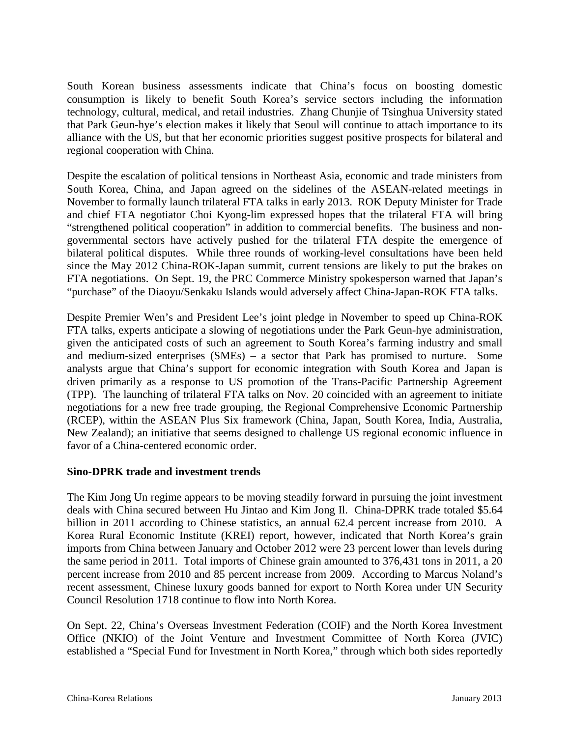South Korean business assessments indicate that China's focus on boosting domestic consumption is likely to benefit South Korea's service sectors including the information technology, cultural, medical, and retail industries. Zhang Chunjie of Tsinghua University stated that Park Geun-hye's election makes it likely that Seoul will continue to attach importance to its alliance with the US, but that her economic priorities suggest positive prospects for bilateral and regional cooperation with China.

Despite the escalation of political tensions in Northeast Asia, economic and trade ministers from South Korea, China, and Japan agreed on the sidelines of the ASEAN-related meetings in November to formally launch trilateral FTA talks in early 2013. ROK Deputy Minister for Trade and chief FTA negotiator Choi Kyong-lim expressed hopes that the trilateral FTA will bring "strengthened political cooperation" in addition to commercial benefits. The business and nongovernmental sectors have actively pushed for the trilateral FTA despite the emergence of bilateral political disputes. While three rounds of working-level consultations have been held since the May 2012 China-ROK-Japan summit, current tensions are likely to put the brakes on FTA negotiations. On Sept. 19, the PRC Commerce Ministry spokesperson warned that Japan's "purchase" of the Diaoyu/Senkaku Islands would adversely affect China-Japan-ROK FTA talks.

Despite Premier Wen's and President Lee's joint pledge in November to speed up China-ROK FTA talks, experts anticipate a slowing of negotiations under the Park Geun-hye administration, given the anticipated costs of such an agreement to South Korea's farming industry and small and medium-sized enterprises (SMEs) – a sector that Park has promised to nurture. Some analysts argue that China's support for economic integration with South Korea and Japan is driven primarily as a response to US promotion of the Trans-Pacific Partnership Agreement (TPP). The launching of trilateral FTA talks on Nov. 20 coincided with an agreement to initiate negotiations for a new free trade grouping, the Regional Comprehensive Economic Partnership (RCEP), within the ASEAN Plus Six framework (China, Japan, South Korea, India, Australia, New Zealand); an initiative that seems designed to challenge US regional economic influence in favor of a China-centered economic order.

#### **Sino-DPRK trade and investment trends**

The Kim Jong Un regime appears to be moving steadily forward in pursuing the joint investment deals with China secured between Hu Jintao and Kim Jong Il. China-DPRK trade totaled \$5.64 billion in 2011 according to Chinese statistics, an annual 62.4 percent increase from 2010. A Korea Rural Economic Institute (KREI) report, however, indicated that North Korea's grain imports from China between January and October 2012 were 23 percent lower than levels during the same period in 2011. Total imports of Chinese grain amounted to 376,431 tons in 2011, a 20 percent increase from 2010 and 85 percent increase from 2009. According to Marcus Noland's recent assessment, Chinese luxury goods banned for export to North Korea under UN Security Council Resolution 1718 continue to flow into North Korea.

On Sept. 22, China's Overseas Investment Federation (COIF) and the North Korea Investment Office (NKIO) of the Joint Venture and Investment Committee of North Korea (JVIC) established a "Special Fund for Investment in North Korea," through which both sides reportedly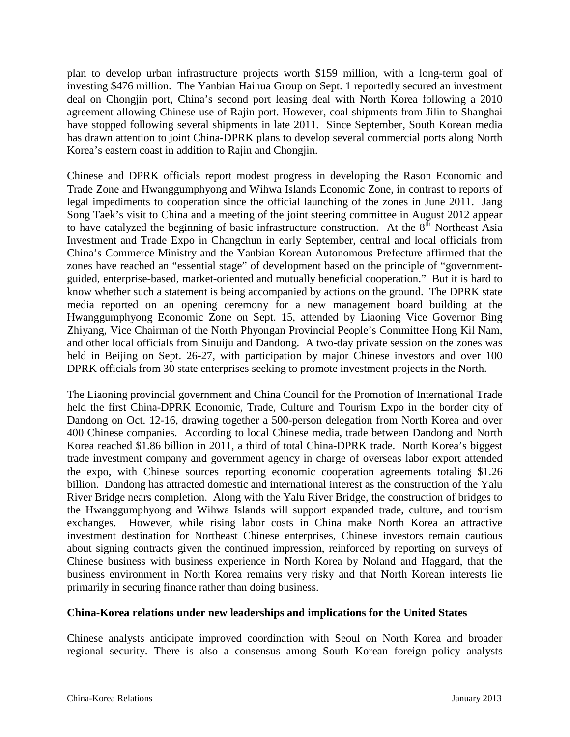plan to develop urban infrastructure projects worth \$159 million, with a long-term goal of investing \$476 million. The Yanbian Haihua Group on Sept. 1 reportedly secured an investment deal on Chongjin port, China's second port leasing deal with North Korea following a 2010 agreement allowing Chinese use of Rajin port. However, coal shipments from Jilin to Shanghai have stopped following several shipments in late 2011. Since September, South Korean media has drawn attention to joint China-DPRK plans to develop several commercial ports along North Korea's eastern coast in addition to Rajin and Chongjin.

Chinese and DPRK officials report modest progress in developing the Rason Economic and Trade Zone and Hwanggumphyong and Wihwa Islands Economic Zone, in contrast to reports of legal impediments to cooperation since the official launching of the zones in June 2011. Jang Song Taek's visit to China and a meeting of the joint steering committee in August 2012 appear to have catalyzed the beginning of basic infrastructure construction. At the  $8<sup>th</sup>$  Northeast Asia Investment and Trade Expo in Changchun in early September, central and local officials from China's Commerce Ministry and the Yanbian Korean Autonomous Prefecture affirmed that the zones have reached an "essential stage" of development based on the principle of "governmentguided, enterprise-based, market-oriented and mutually beneficial cooperation." But it is hard to know whether such a statement is being accompanied by actions on the ground. The DPRK state media reported on an opening ceremony for a new management board building at the Hwanggumphyong Economic Zone on Sept. 15, attended by Liaoning Vice Governor Bing Zhiyang, Vice Chairman of the North Phyongan Provincial People's Committee Hong Kil Nam, and other local officials from Sinuiju and Dandong. A two-day private session on the zones was held in Beijing on Sept. 26-27, with participation by major Chinese investors and over 100 DPRK officials from 30 state enterprises seeking to promote investment projects in the North.

The Liaoning provincial government and China Council for the Promotion of International Trade held the first China-DPRK Economic, Trade, Culture and Tourism Expo in the border city of Dandong on Oct. 12-16, drawing together a 500-person delegation from North Korea and over 400 Chinese companies. According to local Chinese media, trade between Dandong and North Korea reached \$1.86 billion in 2011, a third of total China-DPRK trade. North Korea's biggest trade investment company and government agency in charge of overseas labor export attended the expo, with Chinese sources reporting economic cooperation agreements totaling \$1.26 billion. Dandong has attracted domestic and international interest as the construction of the Yalu River Bridge nears completion. Along with the Yalu River Bridge, the construction of bridges to the Hwanggumphyong and Wihwa Islands will support expanded trade, culture, and tourism exchanges. However, while rising labor costs in China make North Korea an attractive investment destination for Northeast Chinese enterprises, Chinese investors remain cautious about signing contracts given the continued impression, reinforced by reporting on surveys of Chinese business with business experience in North Korea by Noland and Haggard, that the business environment in North Korea remains very risky and that North Korean interests lie primarily in securing finance rather than doing business.

#### **China-Korea relations under new leaderships and implications for the United States**

Chinese analysts anticipate improved coordination with Seoul on North Korea and broader regional security. There is also a consensus among South Korean foreign policy analysts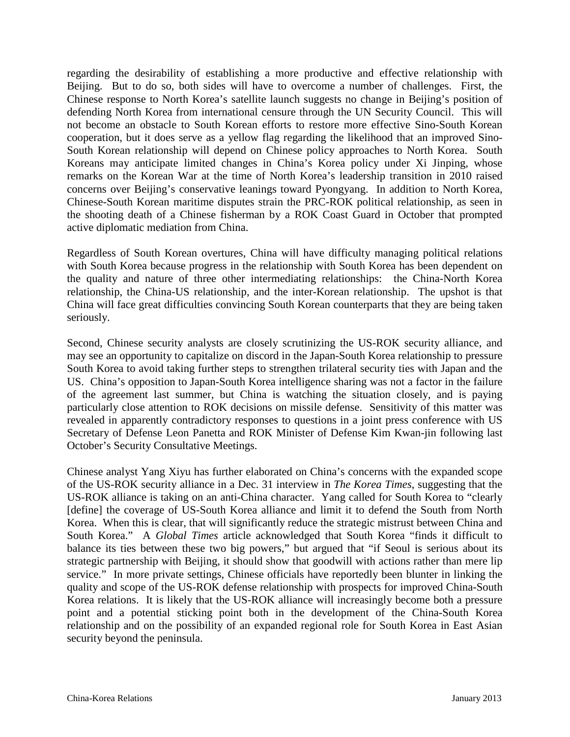regarding the desirability of establishing a more productive and effective relationship with Beijing. But to do so, both sides will have to overcome a number of challenges. First, the Chinese response to North Korea's satellite launch suggests no change in Beijing's position of defending North Korea from international censure through the UN Security Council. This will not become an obstacle to South Korean efforts to restore more effective Sino-South Korean cooperation, but it does serve as a yellow flag regarding the likelihood that an improved Sino-South Korean relationship will depend on Chinese policy approaches to North Korea. South Koreans may anticipate limited changes in China's Korea policy under Xi Jinping, whose remarks on the Korean War at the time of North Korea's leadership transition in 2010 raised concerns over Beijing's conservative leanings toward Pyongyang. In addition to North Korea, Chinese-South Korean maritime disputes strain the PRC-ROK political relationship, as seen in the shooting death of a Chinese fisherman by a ROK Coast Guard in October that prompted active diplomatic mediation from China.

Regardless of South Korean overtures, China will have difficulty managing political relations with South Korea because progress in the relationship with South Korea has been dependent on the quality and nature of three other intermediating relationships: the China-North Korea relationship, the China-US relationship, and the inter-Korean relationship. The upshot is that China will face great difficulties convincing South Korean counterparts that they are being taken seriously.

Second, Chinese security analysts are closely scrutinizing the US-ROK security alliance, and may see an opportunity to capitalize on discord in the Japan-South Korea relationship to pressure South Korea to avoid taking further steps to strengthen trilateral security ties with Japan and the US. China's opposition to Japan-South Korea intelligence sharing was not a factor in the failure of the agreement last summer, but China is watching the situation closely, and is paying particularly close attention to ROK decisions on missile defense. Sensitivity of this matter was revealed in apparently contradictory responses to questions in a joint press conference with US Secretary of Defense Leon Panetta and ROK Minister of Defense Kim Kwan-jin following last October's Security Consultative Meetings.

Chinese analyst Yang Xiyu has further elaborated on China's concerns with the expanded scope of the US-ROK security alliance in a Dec. 31 interview in *The Korea Times*, suggesting that the US-ROK alliance is taking on an anti-China character. Yang called for South Korea to "clearly [define] the coverage of US-South Korea alliance and limit it to defend the South from North Korea. When this is clear, that will significantly reduce the strategic mistrust between China and South Korea." A *Global Times* article acknowledged that South Korea "finds it difficult to balance its ties between these two big powers," but argued that "if Seoul is serious about its strategic partnership with Beijing, it should show that goodwill with actions rather than mere lip service." In more private settings, Chinese officials have reportedly been blunter in linking the quality and scope of the US-ROK defense relationship with prospects for improved China-South Korea relations. It is likely that the US-ROK alliance will increasingly become both a pressure point and a potential sticking point both in the development of the China-South Korea relationship and on the possibility of an expanded regional role for South Korea in East Asian security beyond the peninsula.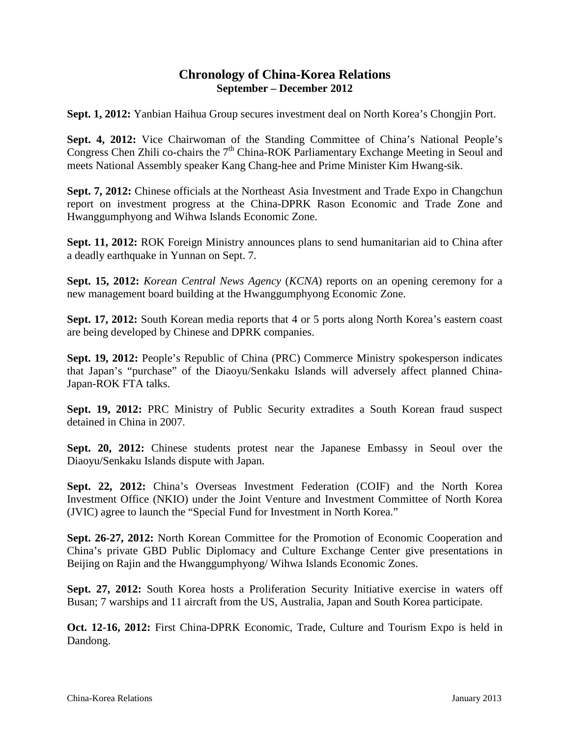### **Chronology of China-Korea Relations September – December 2012**

**Sept. 1, 2012:** Yanbian Haihua Group secures investment deal on North Korea's Chongjin Port.

Sept. 4, 2012: Vice Chairwoman of the Standing Committee of China's National People's Congress Chen Zhili co-chairs the 7<sup>th</sup> China-ROK Parliamentary Exchange Meeting in Seoul and meets National Assembly speaker Kang Chang-hee and Prime Minister Kim Hwang-sik.

**Sept. 7, 2012:** Chinese officials at the Northeast Asia Investment and Trade Expo in Changchun report on investment progress at the China-DPRK Rason Economic and Trade Zone and Hwanggumphyong and Wihwa Islands Economic Zone.

**Sept. 11, 2012:** ROK Foreign Ministry announces plans to send humanitarian aid to China after a deadly earthquake in Yunnan on Sept. 7.

**Sept. 15, 2012:** *Korean Central News Agency* (*KCNA*) reports on an opening ceremony for a new management board building at the Hwanggumphyong Economic Zone.

**Sept. 17, 2012:** South Korean media reports that 4 or 5 ports along North Korea's eastern coast are being developed by Chinese and DPRK companies.

**Sept. 19, 2012:** People's Republic of China (PRC) Commerce Ministry spokesperson indicates that Japan's "purchase" of the Diaoyu/Senkaku Islands will adversely affect planned China-Japan-ROK FTA talks.

**Sept. 19, 2012:** PRC Ministry of Public Security extradites a South Korean fraud suspect detained in China in 2007.

**Sept. 20, 2012:** Chinese students protest near the Japanese Embassy in Seoul over the Diaoyu/Senkaku Islands dispute with Japan.

**Sept. 22, 2012:** China's Overseas Investment Federation (COIF) and the North Korea Investment Office (NKIO) under the Joint Venture and Investment Committee of North Korea (JVIC) agree to launch the "Special Fund for Investment in North Korea."

**Sept. 26-27, 2012:** North Korean Committee for the Promotion of Economic Cooperation and China's private GBD Public Diplomacy and Culture Exchange Center give presentations in Beijing on Rajin and the Hwanggumphyong/ Wihwa Islands Economic Zones.

**Sept. 27, 2012:** South Korea hosts a Proliferation Security Initiative exercise in waters off Busan; 7 warships and 11 aircraft from the US, Australia, Japan and South Korea participate.

**Oct. 12-16, 2012:** First China-DPRK Economic, Trade, Culture and Tourism Expo is held in Dandong.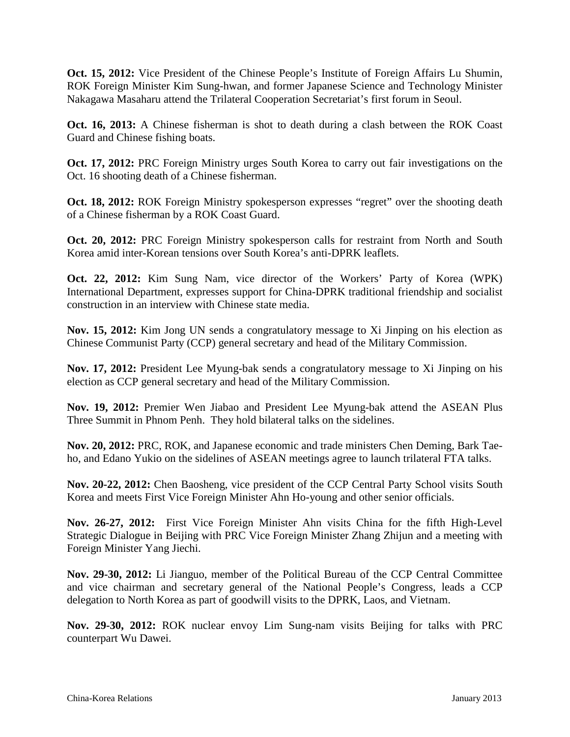**Oct. 15, 2012:** Vice President of the Chinese People's Institute of Foreign Affairs Lu Shumin, ROK Foreign Minister Kim Sung-hwan, and former Japanese Science and Technology Minister Nakagawa Masaharu attend the Trilateral Cooperation Secretariat's first forum in Seoul.

**Oct. 16, 2013:** A Chinese fisherman is shot to death during a clash between the ROK Coast Guard and Chinese fishing boats.

**Oct. 17, 2012:** PRC Foreign Ministry urges South Korea to carry out fair investigations on the Oct. 16 shooting death of a Chinese fisherman.

**Oct. 18, 2012:** ROK Foreign Ministry spokesperson expresses "regret" over the shooting death of a Chinese fisherman by a ROK Coast Guard.

**Oct. 20, 2012:** PRC Foreign Ministry spokesperson calls for restraint from North and South Korea amid inter-Korean tensions over South Korea's anti-DPRK leaflets.

**Oct. 22, 2012:** Kim Sung Nam, vice director of the Workers' Party of Korea (WPK) International Department, expresses support for China-DPRK traditional friendship and socialist construction in an interview with Chinese state media.

**Nov. 15, 2012:** Kim Jong UN sends a congratulatory message to Xi Jinping on his election as Chinese Communist Party (CCP) general secretary and head of the Military Commission.

**Nov. 17, 2012:** President Lee Myung-bak sends a congratulatory message to Xi Jinping on his election as CCP general secretary and head of the Military Commission.

**Nov. 19, 2012:** Premier Wen Jiabao and President Lee Myung-bak attend the ASEAN Plus Three Summit in Phnom Penh. They hold bilateral talks on the sidelines.

**Nov. 20, 2012:** PRC, ROK, and Japanese economic and trade ministers Chen Deming, Bark Taeho, and Edano Yukio on the sidelines of ASEAN meetings agree to launch trilateral FTA talks.

**Nov. 20-22, 2012:** Chen Baosheng, vice president of the CCP Central Party School visits South Korea and meets First Vice Foreign Minister Ahn Ho-young and other senior officials.

**Nov. 26-27, 2012:** First Vice Foreign Minister Ahn visits China for the fifth High-Level Strategic Dialogue in Beijing with PRC Vice Foreign Minister Zhang Zhijun and a meeting with Foreign Minister Yang Jiechi.

**Nov. 29-30, 2012:** Li Jianguo, member of the Political Bureau of the CCP Central Committee and vice chairman and secretary general of the National People's Congress, leads a CCP delegation to North Korea as part of goodwill visits to the DPRK, Laos, and Vietnam.

**Nov. 29-30, 2012:** ROK nuclear envoy Lim Sung-nam visits Beijing for talks with PRC counterpart Wu Dawei.